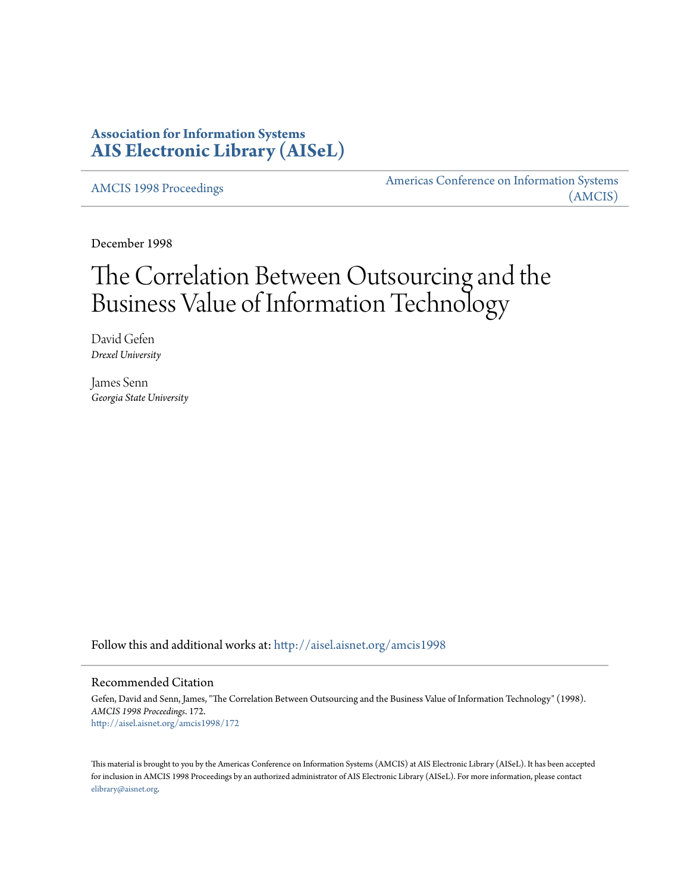# **Association for Information Systems [AIS Electronic Library \(AISeL\)](http://aisel.aisnet.org?utm_source=aisel.aisnet.org%2Famcis1998%2F172&utm_medium=PDF&utm_campaign=PDFCoverPages)**

[AMCIS 1998 Proceedings](http://aisel.aisnet.org/amcis1998?utm_source=aisel.aisnet.org%2Famcis1998%2F172&utm_medium=PDF&utm_campaign=PDFCoverPages)

[Americas Conference on Information Systems](http://aisel.aisnet.org/amcis?utm_source=aisel.aisnet.org%2Famcis1998%2F172&utm_medium=PDF&utm_campaign=PDFCoverPages) [\(AMCIS\)](http://aisel.aisnet.org/amcis?utm_source=aisel.aisnet.org%2Famcis1998%2F172&utm_medium=PDF&utm_campaign=PDFCoverPages)

December 1998

# The Correlation Between Outsourcing and the Business Value of Information Technology

David Gefen *Drexel University*

James Senn *Georgia State University*

Follow this and additional works at: [http://aisel.aisnet.org/amcis1998](http://aisel.aisnet.org/amcis1998?utm_source=aisel.aisnet.org%2Famcis1998%2F172&utm_medium=PDF&utm_campaign=PDFCoverPages)

## Recommended Citation

Gefen, David and Senn, James, "The Correlation Between Outsourcing and the Business Value of Information Technology" (1998). *AMCIS 1998 Proceedings*. 172. [http://aisel.aisnet.org/amcis1998/172](http://aisel.aisnet.org/amcis1998/172?utm_source=aisel.aisnet.org%2Famcis1998%2F172&utm_medium=PDF&utm_campaign=PDFCoverPages)

This material is brought to you by the Americas Conference on Information Systems (AMCIS) at AIS Electronic Library (AISeL). It has been accepted for inclusion in AMCIS 1998 Proceedings by an authorized administrator of AIS Electronic Library (AISeL). For more information, please contact [elibrary@aisnet.org.](mailto:elibrary@aisnet.org%3E)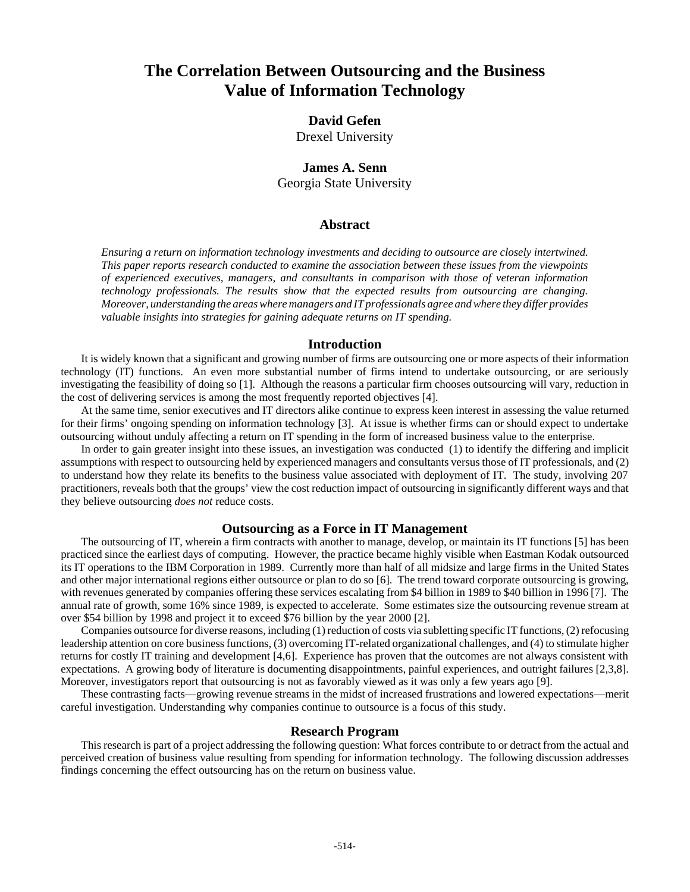# **The Correlation Between Outsourcing and the Business Value of Information Technology**

# **David Gefen**

Drexel University

# **James A. Senn** Georgia State University

#### **Abstract**

*Ensuring a return on information technology investments and deciding to outsource are closely intertwined. This paper reports research conducted to examine the association between these issues from the viewpoints of experienced executives, managers, and consultants in comparison with those of veteran information technology professionals. The results show that the expected results from outsourcing are changing. Moreover, understanding the areas where managers and IT professionals agree and where they differ provides valuable insights into strategies for gaining adequate returns on IT spending.*

#### **Introduction**

It is widely known that a significant and growing number of firms are outsourcing one or more aspects of their information technology (IT) functions. An even more substantial number of firms intend to undertake outsourcing, or are seriously investigating the feasibility of doing so [1]. Although the reasons a particular firm chooses outsourcing will vary, reduction in the cost of delivering services is among the most frequently reported objectives [4].

At the same time, senior executives and IT directors alike continue to express keen interest in assessing the value returned for their firms' ongoing spending on information technology [3]. At issue is whether firms can or should expect to undertake outsourcing without unduly affecting a return on IT spending in the form of increased business value to the enterprise.

In order to gain greater insight into these issues, an investigation was conducted (1) to identify the differing and implicit assumptions with respect to outsourcing held by experienced managers and consultants versus those of IT professionals, and (2) to understand how they relate its benefits to the business value associated with deployment of IT. The study, involving 207 practitioners, reveals both that the groups' view the cost reduction impact of outsourcing in significantly different ways and that they believe outsourcing *does not* reduce costs.

#### **Outsourcing as a Force in IT Management**

The outsourcing of IT, wherein a firm contracts with another to manage, develop, or maintain its IT functions [5] has been practiced since the earliest days of computing. However, the practice became highly visible when Eastman Kodak outsourced its IT operations to the IBM Corporation in 1989. Currently more than half of all midsize and large firms in the United States and other major international regions either outsource or plan to do so [6]. The trend toward corporate outsourcing is growing, with revenues generated by companies offering these services escalating from \$4 billion in 1989 to \$40 billion in 1996 [7]. The annual rate of growth, some 16% since 1989, is expected to accelerate. Some estimates size the outsourcing revenue stream at over \$54 billion by 1998 and project it to exceed \$76 billion by the year 2000 [2].

Companies outsource for diverse reasons, including (1) reduction of costs via subletting specific IT functions, (2) refocusing leadership attention on core business functions, (3) overcoming IT-related organizational challenges, and (4) to stimulate higher returns for costly IT training and development [4,6]. Experience has proven that the outcomes are not always consistent with expectations. A growing body of literature is documenting disappointments, painful experiences, and outright failures [2,3,8]. Moreover, investigators report that outsourcing is not as favorably viewed as it was only a few years ago [9].

These contrasting facts—growing revenue streams in the midst of increased frustrations and lowered expectations—merit careful investigation. Understanding why companies continue to outsource is a focus of this study.

#### **Research Program**

This research is part of a project addressing the following question: What forces contribute to or detract from the actual and perceived creation of business value resulting from spending for information technology. The following discussion addresses findings concerning the effect outsourcing has on the return on business value.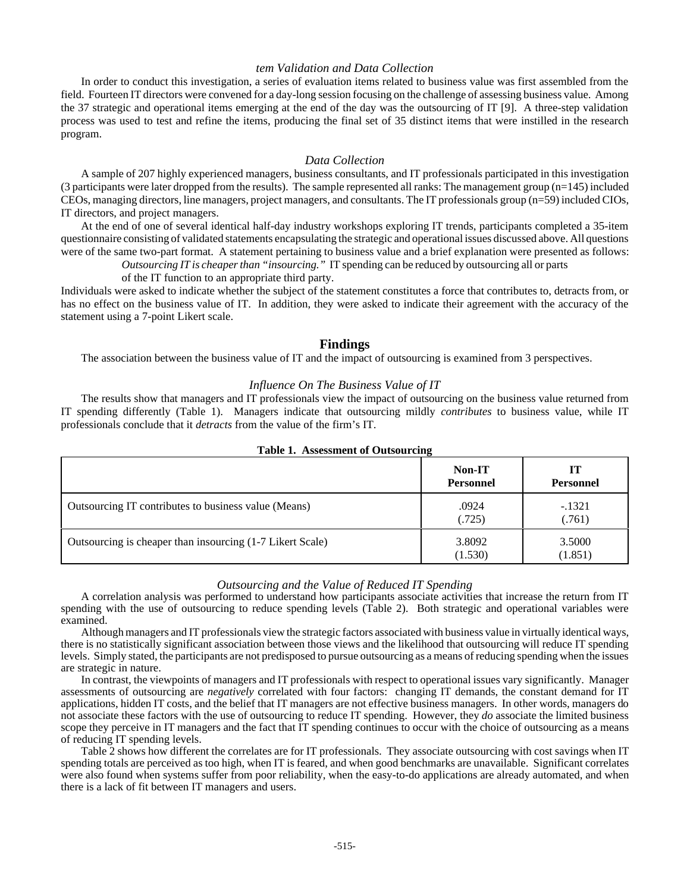#### *tem Validation and Data Collection*

In order to conduct this investigation, a series of evaluation items related to business value was first assembled from the field. Fourteen IT directors were convened for a day-long session focusing on the challenge of assessing business value. Among the 37 strategic and operational items emerging at the end of the day was the outsourcing of IT [9]. A three-step validation process was used to test and refine the items, producing the final set of 35 distinct items that were instilled in the research program.

#### *Data Collection*

A sample of 207 highly experienced managers, business consultants, and IT professionals participated in this investigation (3 participants were later dropped from the results). The sample represented all ranks: The management group (n=145) included CEOs, managing directors, line managers, project managers, and consultants. The IT professionals group (n=59) included CIOs, IT directors, and project managers.

At the end of one of several identical half-day industry workshops exploring IT trends, participants completed a 35-item questionnaire consisting of validated statements encapsulating the strategic and operational issues discussed above. All questions were of the same two-part format. A statement pertaining to business value and a brief explanation were presented as follows:

*Outsourcing IT is cheaper than "insourcing."* IT spending can be reduced by outsourcing all or parts

of the IT function to an appropriate third party.

Individuals were asked to indicate whether the subject of the statement constitutes a force that contributes to, detracts from, or has no effect on the business value of IT. In addition, they were asked to indicate their agreement with the accuracy of the statement using a 7-point Likert scale.

#### **Findings**

The association between the business value of IT and the impact of outsourcing is examined from 3 perspectives.

#### *Influence On The Business Value of IT*

The results show that managers and IT professionals view the impact of outsourcing on the business value returned from IT spending differently (Table 1). Managers indicate that outsourcing mildly *contributes* to business value, while IT professionals conclude that it *detracts* from the value of the firm's IT.

|                                                           | Non-IT<br><b>Personnel</b> | ſТ<br><b>Personnel</b> |
|-----------------------------------------------------------|----------------------------|------------------------|
| Outsourcing IT contributes to business value (Means)      | .0924<br>(.725)            | $-.1321$<br>(0.761)    |
| Outsourcing is cheaper than insourcing (1-7 Likert Scale) | 3.8092<br>(1.530)          | 3.5000<br>(1.851)      |

#### **Table 1. Assessment of Outsourcing**

#### *Outsourcing and the Value of Reduced IT Spending*

A correlation analysis was performed to understand how participants associate activities that increase the return from IT spending with the use of outsourcing to reduce spending levels (Table 2). Both strategic and operational variables were examined.

Although managers and IT professionals view the strategic factors associated with business value in virtually identical ways, there is no statistically significant association between those views and the likelihood that outsourcing will reduce IT spending levels. Simply stated, the participants are not predisposed to pursue outsourcing as a means of reducing spending when the issues are strategic in nature.

In contrast, the viewpoints of managers and IT professionals with respect to operational issues vary significantly. Manager assessments of outsourcing are *negatively* correlated with four factors: changing IT demands, the constant demand for IT applications, hidden IT costs, and the belief that IT managers are not effective business managers. In other words, managers do not associate these factors with the use of outsourcing to reduce IT spending. However, they *do* associate the limited business scope they perceive in IT managers and the fact that IT spending continues to occur with the choice of outsourcing as a means of reducing IT spending levels.

Table 2 shows how different the correlates are for IT professionals. They associate outsourcing with cost savings when IT spending totals are perceived as too high, when IT is feared, and when good benchmarks are unavailable. Significant correlates were also found when systems suffer from poor reliability, when the easy-to-do applications are already automated, and when there is a lack of fit between IT managers and users.